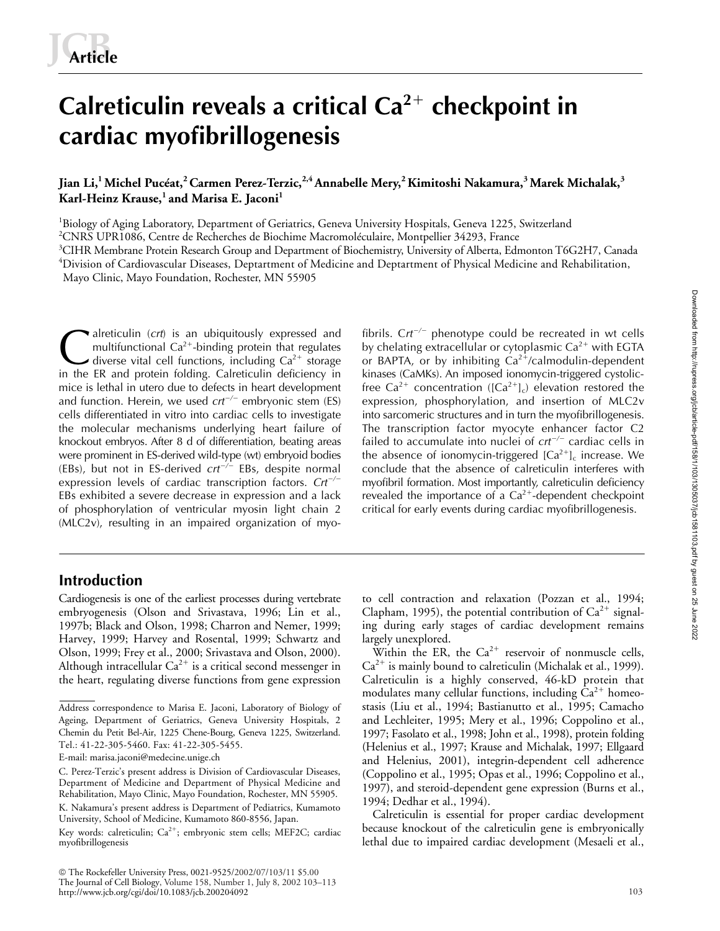# Calreticulin reveals a critical Ca<sup>2+</sup> checkpoint in **cardiac myofibrillogenesis**

# **Jian Li,1 Michel Pucéat,2Carmen Perez-Terzic,2,4 Annabelle Mery,2 Kimitoshi Nakamura,3 Marek Michalak,3 Karl-Heinz Krause,1 and Marisa E. Jaconi1**

<sup>1</sup>Biology of Aging Laboratory, Department of Geriatrics, Geneva University Hospitals, Geneva 1225, Switzerland <sup>2</sup>CNRS UPR1086, Centre de Recherches de Biochime Macromoléculaire, Montpellier 34293, France  $^3$ CIHR Membrane Protein Research Group and Department of Biochemistry, University of Alberta, Edmonton T6G2H7, Canada 4 Division of Cardiovascular Diseases, Deptartment of Medicine and Deptartment of Physical Medicine and Rehabilitation, Mayo Clinic, Mayo Foundation, Rochester, MN 55905

alreticulin (*crt*) is an ubiquitously expressed and multifunctional  $Ca^{2+}$ -binding protein that regulates diverse vital cell functions, including  $Ca^{2+}$  storage in the ER and protein folding. Calreticulin deficiency in mice is lethal in utero due to defects in heart development and function. Herein, we used  $crt^{-/-}$  embryonic stem (ES) cells differentiated in vitro into cardiac cells to investigate the molecular mechanisms underlying heart failure of knockout embryos. After 8 d of differentiation, beating areas were prominent in ES-derived wild-type (wt) embryoid bodies (EBs), but not in ES-derived  $crt^{-/-}$  EBs, despite normal expression levels of cardiac transcription factors. *Crt/* EBs exhibited a severe decrease in expression and a lack of phosphorylation of ventricular myosin light chain 2 (MLC2v), resulting in an impaired organization of myo-**C** alreticulin (*crt*) is an ubiquitously expressed and fibrils. C*rt<sup>-/-</sup>* phenotype could be recreated in wt cells multifunctional Ca<sup>2+</sup>-binding protein that regulates by chelating extracellular or cytoplasmic Ca<sup>2+</sup>

# **Introduction**

Cardiogenesis is one of the earliest processes during vertebrate embryogenesis (Olson and Srivastava, 1996; Lin et al., 1997b; Black and Olson, 1998; Charron and Nemer, 1999; Harvey, 1999; Harvey and Rosental, 1999; Schwartz and Olson, 1999; Frey et al., 2000; Srivastava and Olson, 2000). Although intracellular  $Ca^{2+}$  is a critical second messenger in the heart, regulating diverse functions from gene expression

 The Rockefeller University Press, 0021-9525/2002/07/103/11 \$5.00 The Journal of Cell Biology, Volume 158, Number 1, July 8, 2002 103–113 http://www.jcb.org/cgi/doi/10.1083/jcb.200204092

by chelating extracellular or cytoplasmic Ca $^{2+}$  with EGTA or BAPTA, or by inhibiting  $Ca^{2+}/cal$ ndmodulin-dependent kinases (CaMKs). An imposed ionomycin-triggered cystolicfree Ca<sup>2+</sup> concentration ([Ca<sup>2+</sup>]<sub>c</sub>) elevation restored the expression, phosphorylation, and insertion of MLC2v into sarcomeric structures and in turn the myofibrillogenesis. The transcription factor myocyte enhancer factor C2 failed to accumulate into nuclei of  $crt^{-/-}$  cardiac cells in the absence of ionomycin-triggered  ${[Ca^{2+}]}_{c}$  increase. We conclude that the absence of calreticulin interferes with myofibril formation. Most importantly, calreticulin deficiency revealed the importance of a  $Ca^{2+}$ -dependent checkpoint critical for early events during cardiac myofibrillogenesis.

to cell contraction and relaxation (Pozzan et al., 1994; Clapham, 1995), the potential contribution of  $Ca^{2+}$  signaling during early stages of cardiac development remains largely unexplored.

Within the ER, the  $Ca^{2+}$  reservoir of nonmuscle cells,  $Ca^{2+}$  is mainly bound to calreticulin (Michalak et al., 1999). Calreticulin is a highly conserved, 46-kD protein that modulates many cellular functions, including  $\mathrm{Ca^{2+}}$  homeostasis (Liu et al., 1994; Bastianutto et al., 1995; Camacho and Lechleiter, 1995; Mery et al., 1996; Coppolino et al., 1997; Fasolato et al., 1998; John et al., 1998), protein folding (Helenius et al., 1997; Krause and Michalak, 1997; Ellgaard and Helenius, 2001), integrin-dependent cell adherence (Coppolino et al., 1995; Opas et al., 1996; Coppolino et al., 1997), and steroid-dependent gene expression (Burns et al., 1994; Dedhar et al., 1994).

Calreticulin is essential for proper cardiac development because knockout of the calreticulin gene is embryonically lethal due to impaired cardiac development (Mesaeli et al.,

Address correspondence to Marisa E. Jaconi, Laboratory of Biology of Ageing, Department of Geriatrics, Geneva University Hospitals, 2 Chemin du Petit Bel-Air, 1225 Chene-Bourg, Geneva 1225, Switzerland. Tel.: 41-22-305-5460. Fax: 41-22-305-5455.

E-mail: marisa.jaconi@medecine.unige.ch

C. Perez-Terzic's present address is Division of Cardiovascular Diseases, Department of Medicine and Department of Physical Medicine and Rehabilitation, Mayo Clinic, Mayo Foundation, Rochester, MN 55905. K. Nakamura's present address is Department of Pediatrics, Kumamoto

University, School of Medicine, Kumamoto 860-8556, Japan.

Key words: calreticulin; Ca<sup>2+</sup>; embryonic stem cells; MEF2C; cardiac myofibrillogenesis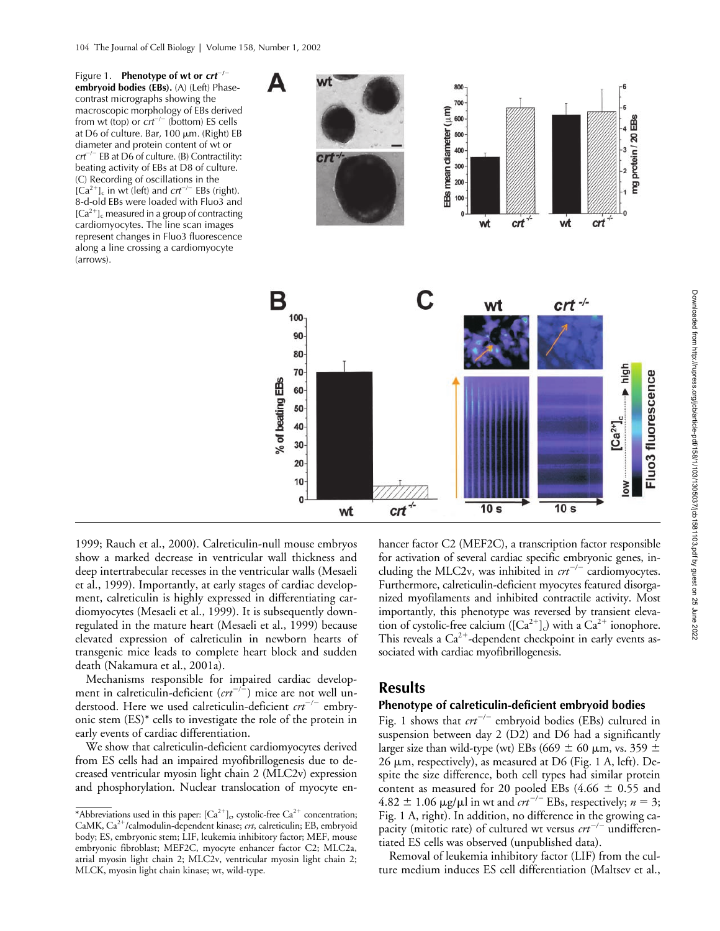Figure 1. **Phenotype of wt or**  $crt^{-/-}$ **embryoid bodies (EBs).** (A) (Left) Phasecontrast micrographs showing the macroscopic morphology of EBs derived from wt (top) or  $crt^{-/-}$  (bottom) ES cells at D6 of culture. Bar,  $100 \mu m$ . (Right) EB diameter and protein content of wt or  $crt^{-/-}$  EB at D6 of culture. (B) Contractility: beating activity of EBs at D8 of culture. (C) Recording of oscillations in the  $[Ca^{2+}]_c$  in wt (left) and  $crt^{-/-}$  EBs (right). 8-d-old EBs were loaded with Fluo3 and  $[Ca<sup>2+</sup>]_{c}$  measured in a group of contracting cardiomyocytes. The line scan images represent changes in Fluo3 fluorescence along a line crossing a cardiomyocyte (arrows).



1999; Rauch et al., 2000). Calreticulin-null mouse embryos show a marked decrease in ventricular wall thickness and deep intertrabecular recesses in the ventricular walls (Mesaeli et al., 1999). Importantly, at early stages of cardiac development, calreticulin is highly expressed in differentiating cardiomyocytes (Mesaeli et al., 1999). It is subsequently downregulated in the mature heart (Mesaeli et al., 1999) because elevated expression of calreticulin in newborn hearts of transgenic mice leads to complete heart block and sudden death (Nakamura et al., 2001a).

Mechanisms responsible for impaired cardiac development in calreticulin-deficient  $(ct^{-1})$  mice are not well understood. Here we used calreticulin-deficient  $crt^{-/-}$  embryonic stem (ES)\* cells to investigate the role of the protein in early events of cardiac differentiation.

We show that calreticulin-deficient cardiomyocytes derived from ES cells had an impaired myofibrillogenesis due to decreased ventricular myosin light chain 2 (MLC2v) expression and phosphorylation. Nuclear translocation of myocyte enhancer factor C2 (MEF2C), a transcription factor responsible for activation of several cardiac specific embryonic genes, including the MLC2v, was inhibited in  $crt^{-/-}$  cardiomyocytes. Furthermore, calreticulin-deficient myocytes featured disorganized myofilaments and inhibited contractile activity. Most importantly, this phenotype was reversed by transient elevation of cystolic-free calcium ( $[Ca^{2+}]_c$ ) with a  $Ca^{2+}$  ionophore. This reveals a  $Ca^{2+}$ -dependent checkpoint in early events associated with cardiac myofibrillogenesis.

## **Results**

### **Phenotype of calreticulin-deficient embryoid bodies**

Fig. 1 shows that  $crt^{-/-}$  embryoid bodies (EBs) cultured in suspension between day 2 (D2) and D6 had a significantly larger size than wild-type (wt) EBs (669  $\pm$  60 µm, vs. 359  $\pm$  $26 \mu$ m, respectively), as measured at D6 (Fig. 1 A, left). Despite the size difference, both cell types had similar protein content as measured for 20 pooled EBs (4.66  $\pm$  0.55 and  $4.82 \pm 1.06$   $\mu$ g/ $\mu$ l in wt and *crt<sup>-/-</sup>* EBs, respectively;  $n = 3$ ; Fig. 1 A, right). In addition, no difference in the growing capacity (mitotic rate) of cultured wt versus  $crt^{-/-}$  undifferentiated ES cells was observed (unpublished data).

Removal of leukemia inhibitory factor (LIF) from the culture medium induces ES cell differentiation (Maltsev et al.,

<sup>\*</sup>Abbreviations used in this paper:  $\left[Ca^{2+}\right]$ , cystolic-free  $Ca^{2+}$  concentration; CaMK, Ca2-/calmodulin-dependent kinase; *crt*, calreticulin; EB, embryoid body; ES, embryonic stem; LIF, leukemia inhibitory factor; MEF, mouse embryonic fibroblast; MEF2C, myocyte enhancer factor C2; MLC2a, atrial myosin light chain 2; MLC2v, ventricular myosin light chain 2; MLCK, myosin light chain kinase; wt, wild-type.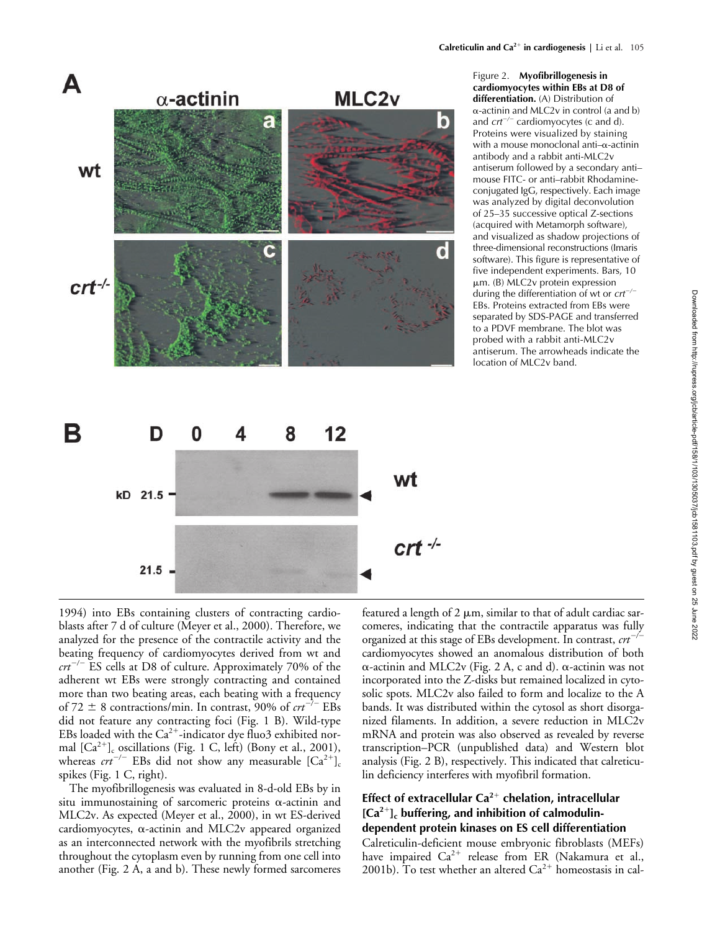

Figure 2. **Myofibrillogenesis in cardiomyocytes within EBs at D8 of differentiation.** (A) Distribution of  $\alpha$ -actinin and MLC2v in control (a and b) and  $crt^{-/-}$  cardiomyocytes (c and d). Proteins were visualized by staining with a mouse monoclonal anti $-\alpha$ -actinin antibody and a rabbit anti-MLC2v antiserum followed by a secondary anti– mouse FITC- or anti–rabbit Rhodamineconjugated IgG, respectively. Each image was analyzed by digital deconvolution of 25–35 successive optical Z-sections (acquired with Metamorph software), and visualized as shadow projections of three-dimensional reconstructions (Imaris software). This figure is representative of five independent experiments. Bars, 10  $\mu$ m. (B) MLC2v protein expression during the differentiation of wt or *crt/* EBs. Proteins extracted from EBs were separated by SDS-PAGE and transferred to a PDVF membrane. The blot was probed with a rabbit anti-MLC2v antiserum. The arrowheads indicate the location of MLC2v band.



featured a length of  $2 \mu m$ , similar to that of adult cardiac sar-

1994) into EBs containing clusters of contracting cardioblasts after 7 d of culture (Meyer et al., 2000). Therefore, we analyzed for the presence of the contractile activity and the beating frequency of cardiomyocytes derived from wt and *crt/* ES cells at D8 of culture. Approximately 70% of the adherent wt EBs were strongly contracting and contained more than two beating areas, each beating with a frequency of 72  $\pm$  8 contractions/min. In contrast, 90% of *crt*<sup>-/-</sup> EBs did not feature any contracting foci (Fig. 1 B). Wild-type EBs loaded with the  $Ca^{2+}$ -indicator dye fluo3 exhibited normal  $[Ca^{2+}]_c$  oscillations (Fig. 1 C, left) (Bony et al., 2001), whereas  $crt^{-/-}$  EBs did not show any measurable  $[Ca^{2+}]_c$ spikes (Fig. 1 C, right).

The myofibrillogenesis was evaluated in 8-d-old EBs by in situ immunostaining of sarcomeric proteins  $\alpha$ -actinin and MLC2v. As expected (Meyer et al., 2000), in wt ES-derived cardiomyocytes,  $\alpha$ -actinin and MLC2v appeared organized as an interconnected network with the myofibrils stretching throughout the cytoplasm even by running from one cell into another (Fig. 2 A, a and b). These newly formed sarcomeres

comeres, indicating that the contractile apparatus was fully organized at this stage of EBs development. In contrast, *crt/* cardiomyocytes showed an anomalous distribution of both  $\alpha$ -actinin and MLC2v (Fig. 2 A, c and d).  $\alpha$ -actinin was not incorporated into the Z-disks but remained localized in cytosolic spots. MLC2v also failed to form and localize to the A bands. It was distributed within the cytosol as short disorganized filaments. In addition, a severe reduction in MLC2v mRNA and protein was also observed as revealed by reverse transcription–PCR (unpublished data) and Western blot analysis (Fig. 2 B), respectively. This indicated that calreticulin deficiency interferes with myofibril formation.

## Effect of extracellular Ca<sup>2+</sup> chelation, intracellular **[Ca2**-**]c buffering, and inhibition of calmodulindependent protein kinases on ES cell differentiation**

Calreticulin-deficient mouse embryonic fibroblasts (MEFs) have impaired  $Ca^{2+}$  release from ER (Nakamura et al., 2001b). To test whether an altered  $Ca^{2+}$  homeostasis in cal-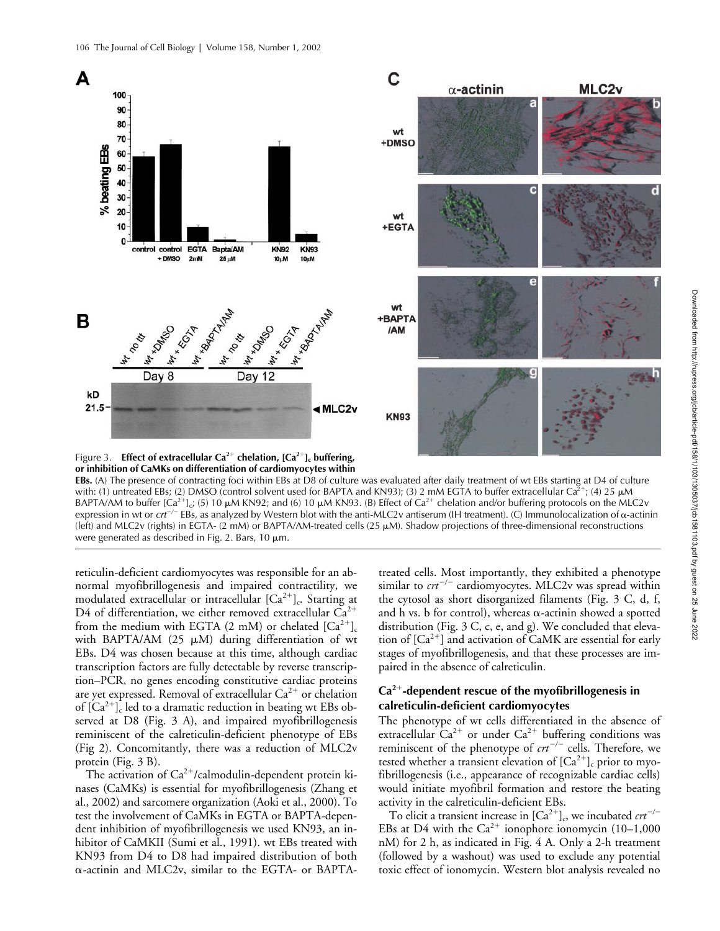

Figure 3. **Effect of extracellular Ca<sup>2+</sup> chelation, [Ca<sup>2+</sup>]<sub>c</sub> buffering, or inhibition of CaMKs on differentiation of cardiomyocytes within** 

**EBs.** (A) The presence of contracting foci within EBs at D8 of culture was evaluated after daily treatment of wt EBs starting at D4 of culture with: (1) untreated EBs; (2) DMSO (control solvent used for BAPTA and KN93); (3) 2 mM EGTA to buffer extracellular  $Ca^{2+}$ ; (4) 25  $\mu$ M BAPTA/AM to buffer [Ca<sup>2+</sup>]<sub>c</sub>; (5) 10  $\mu$ M KN92; and (6) 10  $\mu$ M KN93. (B) Effect of Ca<sup>2+</sup> chelation and/or buffering protocols on the MLC2v expression in wt or  $crt^{-/-}$  EBs, as analyzed by Western blot with the anti-MLC2v antiserum (IH treatment). (C) Immunolocalization of  $\alpha$ -actinin (left) and MLC2v (rights) in EGTA- (2 mM) or BAPTA/AM-treated cells (25  $\mu$ M). Shadow projections of three-dimensional reconstructions were generated as described in Fig. 2. Bars,  $10 \mu m$ .

reticulin-deficient cardiomyocytes was responsible for an abnormal myofibrillogenesis and impaired contractility, we modulated extracellular or intracellular [Ca<sup>2+</sup>]<sub>c</sub>. Starting at D4 of differentiation, we either removed extracellular  $\tilde{Ca}^{2+}$ from the medium with EGTA (2 mM) or chelated  $[Ca^{2+}]_c$ with BAPTA/AM (25  $\mu$ M) during differentiation of wt EBs. D4 was chosen because at this time, although cardiac transcription factors are fully detectable by reverse transcription–PCR, no genes encoding constitutive cardiac proteins are yet expressed. Removal of extracellular  $\mathrm{Ca^{2+}}$  or chelation of  $[Ca^{2+}]_c$  led to a dramatic reduction in beating wt EBs observed at D8 (Fig. 3 A), and impaired myofibrillogenesis reminiscent of the calreticulin-deficient phenotype of EBs (Fig 2). Concomitantly, there was a reduction of MLC2v protein (Fig. 3 B).

The activation of  $Ca^{2+}/c$ almodulin-dependent protein kinases (CaMKs) is essential for myofibrillogenesis (Zhang et al., 2002) and sarcomere organization (Aoki et al., 2000). To test the involvement of CaMKs in EGTA or BAPTA-dependent inhibition of myofibrillogenesis we used KN93, an inhibitor of CaMKII (Sumi et al., 1991). wt EBs treated with KN93 from D4 to D8 had impaired distribution of both  $\alpha$ -actinin and MLC2v, similar to the EGTA- or BAPTA-

treated cells. Most importantly, they exhibited a phenotype similar to *crt<sup>-/-</sup>* cardiomyocytes. MLC2v was spread within the cytosol as short disorganized filaments (Fig. 3 C, d, f, and h vs. b for control), whereas  $\alpha$ -actinin showed a spotted distribution (Fig. 3 C, c, e, and g). We concluded that elevation of  $[Ca^{2+}]$  and activation of  $CaMK$  are essential for early stages of myofibrillogenesis, and that these processes are impaired in the absence of calreticulin.

## **Ca2**-**-dependent rescue of the myofibrillogenesis in calreticulin-deficient cardiomyocytes**

The phenotype of wt cells differentiated in the absence of extracellular  $Ca^{2+}$  or under  $Ca^{2+}$  buffering conditions was reminiscent of the phenotype of  $crt^{-/-}$  cells. Therefore, we tested whether a transient elevation of  $\left[Ca^{2+}\right]_{\rm c}$  prior to myofibrillogenesis (i.e., appearance of recognizable cardiac cells) would initiate myofibril formation and restore the beating activity in the calreticulin-deficient EBs.

To elicit a transient increase in  ${\rm [Ca^{2+}]}_{\rm c}$ , we incubated  $crt^{-/-}$ EBs at D4 with the  $Ca^{2+}$  ionophore ionomycin (10-1,000 nM) for 2 h, as indicated in Fig. 4 A. Only a 2-h treatment (followed by a washout) was used to exclude any potential toxic effect of ionomycin. Western blot analysis revealed no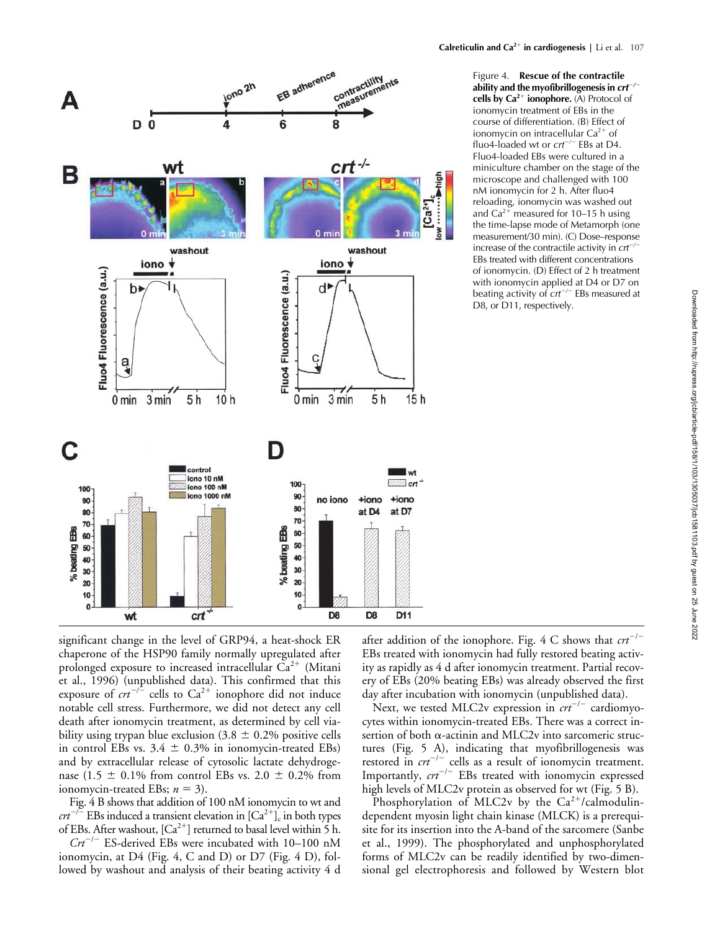

Figure 4. **Rescue of the contractile ability and the myofibrillogenesis in** *crt/* **cells by Ca<sup>2+</sup> ionophore.** (A) Protocol of ionomycin treatment of EBs in the course of differentiation. (B) Effect of ionomycin on intracellular  $Ca^{2+}$  of fluo4-loaded wt or *crt/* EBs at D4. Fluo4-loaded EBs were cultured in a miniculture chamber on the stage of the microscope and challenged with 100 nM ionomycin for 2 h. After fluo4 reloading, ionomycin was washed out and  $Ca^{2+}$  measured for 10–15 h using the time-lapse mode of Metamorph (one measurement/30 min). (C) Dose–response increase of the contractile activity in *crt/* EBs treated with different concentrations of ionomycin. (D) Effect of 2 h treatment with ionomycin applied at D4 or D7 on beating activity of *crt/* EBs measured at D8, or D11, respectively.

significant change in the level of GRP94, a heat-shock ER chaperone of the HSP90 family normally upregulated after prolonged exposure to increased intracellular  $\check{Ca}^{2+}$  (Mitani et al., 1996) (unpublished data). This confirmed that this exposure of  $crt^{-2}$  cells to  $Ca^{2+}$  ionophore did not induce notable cell stress. Furthermore, we did not detect any cell death after ionomycin treatment, as determined by cell viability using trypan blue exclusion  $(3.8 \pm 0.2\%)$  positive cells in control EBs vs.  $3.4 \pm 0.3\%$  in ionomycin-treated EBs) and by extracellular release of cytosolic lactate dehydrogenase (1.5  $\pm$  0.1% from control EBs vs. 2.0  $\pm$  0.2% from ionomycin-treated EBs;  $n = 3$ ).

Fig. 4 B shows that addition of 100 nM ionomycin to wt and  $crt^{-/-}$  EBs induced a transient elevation in  $\left[Ca^{2+}\right]_0$  in both types  $crt^{-/-}$  EBs induced a transient elevation in  $\left[Ca^{2+}\right]_c$  in both types of EBs. After washout,  $[Ca^{2+}]$  returned to basal level within 5 h.

Crt<sup>-/-</sup> ES-derived EBs were incubated with 10-100 nM ionomycin, at D4 (Fig. 4, C and D) or D7 (Fig. 4 D), followed by washout and analysis of their beating activity 4 d after addition of the ionophore. Fig. 4 C shows that  $crt^{-/-}$ EBs treated with ionomycin had fully restored beating activity as rapidly as 4 d after ionomycin treatment. Partial recovery of EBs (20% beating EBs) was already observed the first day after incubation with ionomycin (unpublished data).

Next, we tested MLC2v expression in  $crt^{-/-}$  cardiomyocytes within ionomycin-treated EBs. There was a correct insertion of both  $\alpha$ -actinin and MLC2v into sarcomeric structures (Fig. 5 A), indicating that myofibrillogenesis was restored in  $crt^{-1}$  cells as a result of ionomycin treatment. Importantly,  $crt^{-1}$  EBs treated with ionomycin expressed high levels of MLC2v protein as observed for wt (Fig. 5 B).

Phosphorylation of MLC2v by the  $Ca^{2+}/cal$ calmodulindependent myosin light chain kinase (MLCK) is a prerequisite for its insertion into the A-band of the sarcomere (Sanbe et al., 1999). The phosphorylated and unphosphorylated forms of MLC2v can be readily identified by two-dimensional gel electrophoresis and followed by Western blot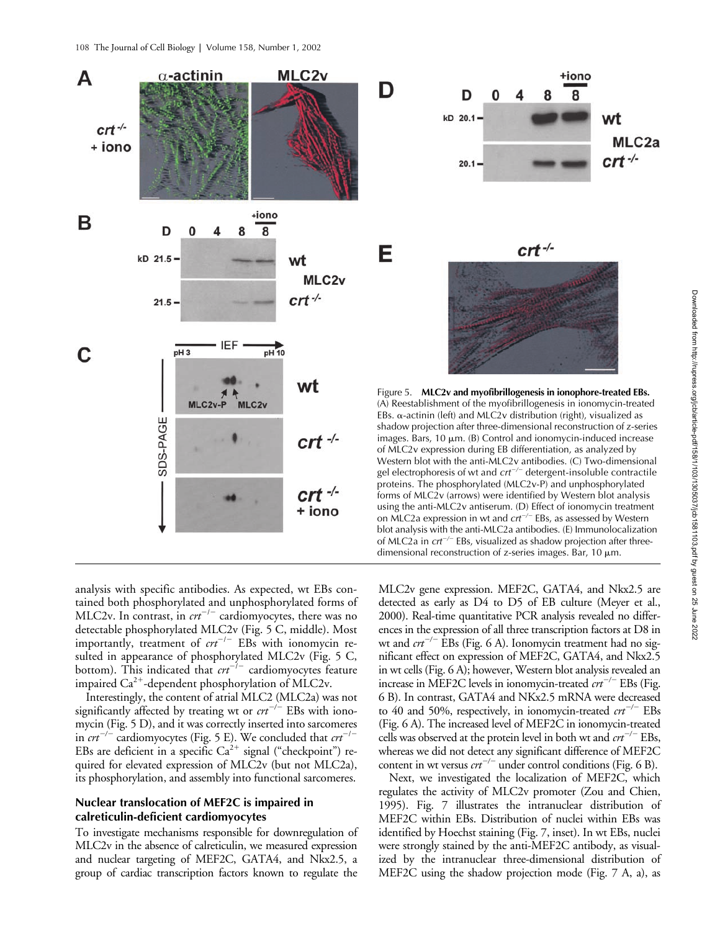

analysis with specific antibodies. As expected, wt EBs contained both phosphorylated and unphosphorylated forms of MLC2v. In contrast, in  $crt^{-/-}$  cardiomyocytes, there was no detectable phosphorylated MLC2v (Fig. 5 C, middle). Most importantly, treatment of  $crt^{-/-}$  EBs with ionomycin resulted in appearance of phosphorylated MLC2v (Fig. 5 C, bottom). This indicated that  $crt^{-1}$  cardiomyocytes feature impaired Ca<sup>2+</sup>-dependent phosphorylation of MLC2v.

Interestingly, the content of atrial MLC2 (MLC2a) was not significantly affected by treating wt or  $crt^{-/-}$  EBs with ionomycin (Fig. 5 D), and it was correctly inserted into sarcomeres in  $crt^{-/-}$  cardiomyocytes (Fig. 5 E). We concluded that  $crt^{-/-}$ EBs are deficient in a specific  $Ca^{2+}$  signal ("checkpoint") required for elevated expression of MLC2v (but not MLC2a), its phosphorylation, and assembly into functional sarcomeres.

## **Nuclear translocation of MEF2C is impaired in calreticulin-deficient cardiomyocytes**

To investigate mechanisms responsible for downregulation of MLC2v in the absence of calreticulin, we measured expression and nuclear targeting of MEF2C, GATA4, and Nkx2.5, a group of cardiac transcription factors known to regulate the

MLC2v gene expression. MEF2C, GATA4, and Nkx2.5 are detected as early as D4 to D5 of EB culture (Meyer et al., 2000). Real-time quantitative PCR analysis revealed no differences in the expression of all three transcription factors at D8 in wt and  $crt^{-/-}$  EBs (Fig. 6 A). Ionomycin treatment had no significant effect on expression of MEF2C, GATA4, and Nkx2.5 in wt cells (Fig. 6 A); however, Western blot analysis revealed an increase in MEF2C levels in ionomycin-treated  $crt^{-/-}$  EBs (Fig. 6 B). In contrast, GATA4 and NKx2.5 mRNA were decreased to 40 and 50%, respectively, in ionomycin-treated *crt/* EBs (Fig. 6 A). The increased level of MEF2C in ionomycin-treated cells was observed at the protein level in both wt and  $crt^{-/-}$  EBs, whereas we did not detect any significant difference of MEF2C content in wt versus  $crt^{-/-}$  under control conditions (Fig. 6 B).

Next, we investigated the localization of MEF2C, which regulates the activity of MLC2v promoter (Zou and Chien, 1995). Fig. 7 illustrates the intranuclear distribution of MEF2C within EBs. Distribution of nuclei within EBs was identified by Hoechst staining (Fig. 7, inset). In wt EBs, nuclei were strongly stained by the anti-MEF2C antibody, as visualized by the intranuclear three-dimensional distribution of MEF2C using the shadow projection mode (Fig. 7 A, a), as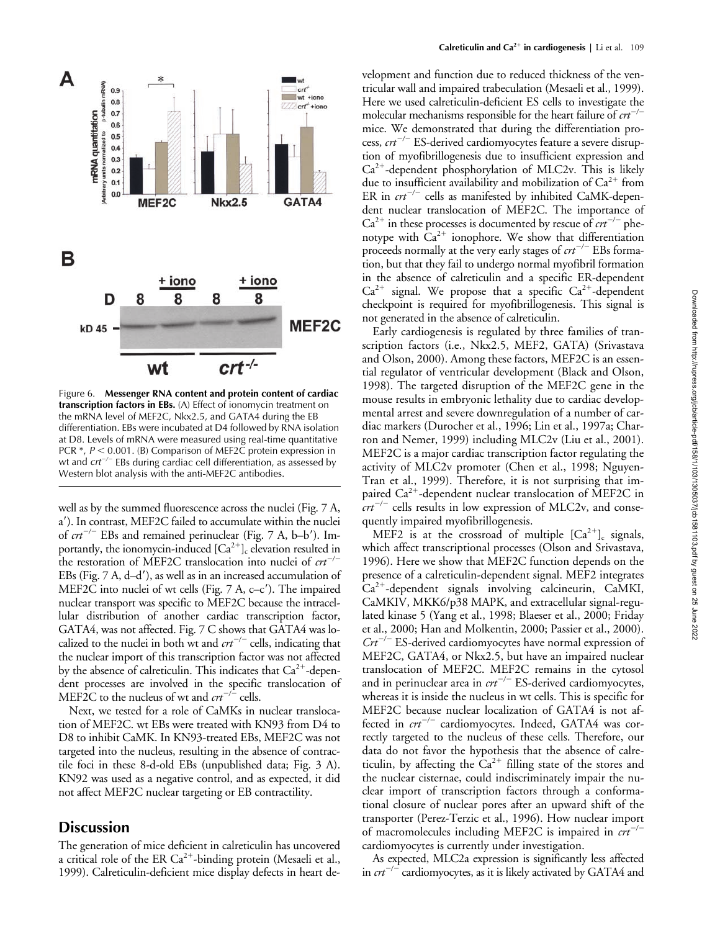

Figure 6. **Messenger RNA content and protein content of cardiac transcription factors in EBs.** (A) Effect of ionomycin treatment on the mRNA level of MEF2C, Nkx2.5, and GATA4 during the EB differentiation. EBs were incubated at D4 followed by RNA isolation at D8. Levels of mRNA were measured using real-time quantitative PCR \*,  $P$  < 0.001. (B) Comparison of MEF2C protein expression in wt and *crt<sup>-/-</sup>* EBs during cardiac cell differentiation, as assessed by Western blot analysis with the anti-MEF2C antibodies.

well as by the summed fluorescence across the nuclei (Fig. 7 A, a'). In contrast, MEF2C failed to accumulate within the nuclei of  $crt^{-/-}$  EBs and remained perinuclear (Fig. 7 A, b-b'). Importantly, the ionomycin-induced  $[Ca^{2+}]_c$  elevation resulted in the restoration of MEF2C translocation into nuclei of *crt/* EBs (Fig.  $7$  A, d-d'), as well as in an increased accumulation of MEF2C into nuclei of wt cells (Fig.  $7$  A, c–c'). The impaired nuclear transport was specific to MEF2C because the intracellular distribution of another cardiac transcription factor, GATA4, was not affected. Fig. 7 C shows that GATA4 was localized to the nuclei in both wt and  $crt^{-/-}$  cells, indicating that the nuclear import of this transcription factor was not affected by the absence of calreticulin. This indicates that  $Ca^{2+}$ -dependent processes are involved in the specific translocation of MEF2C to the nucleus of wt and  $crt^{-/-}$  cells.

Next, we tested for a role of CaMKs in nuclear translocation of MEF2C. wt EBs were treated with KN93 from D4 to D8 to inhibit CaMK. In KN93-treated EBs, MEF2C was not targeted into the nucleus, resulting in the absence of contractile foci in these 8-d-old EBs (unpublished data; Fig. 3 A). KN92 was used as a negative control, and as expected, it did not affect MEF2C nuclear targeting or EB contractility.

## **Discussion**

The generation of mice deficient in calreticulin has uncovered a critical role of the ER  $Ca^{2+}$ -binding protein (Mesaeli et al., 1999). Calreticulin-deficient mice display defects in heart development and function due to reduced thickness of the ventricular wall and impaired trabeculation (Mesaeli et al., 1999). Here we used calreticulin-deficient ES cells to investigate the molecular mechanisms responsible for the heart failure of *crt/* mice. We demonstrated that during the differentiation process,  $crt^{-/-}$  ES-derived cardiomyocytes feature a severe disruption of myofibrillogenesis due to insufficient expression and Ca<sup>2+</sup>-dependent phosphorylation of MLC2v. This is likely due to insufficient availability and mobilization of  $Ca^{2+}$  from ER in  $crt^{-/-}$  cells as manifested by inhibited CaMK-dependent nuclear translocation of MEF2C. The importance of  $Ca^{2+}$  in these processes is documented by rescue of  $crt^{-/-}$  phenotype with  $Ca^{2+}$  ionophore. We show that differentiation proceeds normally at the very early stages of *crt/* EBs formation, but that they fail to undergo normal myofibril formation in the absence of calreticulin and a specific ER-dependent  $Ca^{2+}$  signal. We propose that a specific  $Ca^{2+}$ -dependent checkpoint is required for myofibrillogenesis. This signal is not generated in the absence of calreticulin.

Early cardiogenesis is regulated by three families of transcription factors (i.e., Nkx2.5, MEF2, GATA) (Srivastava and Olson, 2000). Among these factors, MEF2C is an essential regulator of ventricular development (Black and Olson, 1998). The targeted disruption of the MEF2C gene in the mouse results in embryonic lethality due to cardiac developmental arrest and severe downregulation of a number of cardiac markers (Durocher et al., 1996; Lin et al., 1997a; Charron and Nemer, 1999) including MLC2v (Liu et al., 2001). MEF2C is a major cardiac transcription factor regulating the activity of MLC2v promoter (Chen et al., 1998; Nguyen-Tran et al., 1999). Therefore, it is not surprising that impaired Ca<sup>2+</sup>-dependent nuclear translocation of MEF2C in  $crt^{-/-}$  cells results in low expression of MLC2v, and consequently impaired myofibrillogenesis.

MEF2 is at the crossroad of multiple  $[Ca^{2+}]_c$  signals, which affect transcriptional processes (Olson and Srivastava, 1996). Here we show that MEF2C function depends on the presence of a calreticulin-dependent signal. MEF2 integrates Ca<sup>2+</sup>-dependent signals involving calcineurin, CaMKI, CaMKIV, MKK6/p38 MAPK, and extracellular signal-regulated kinase 5 (Yang et al., 1998; Blaeser et al., 2000; Friday et al., 2000; Han and Molkentin, 2000; Passier et al., 2000). *Crt/* ES-derived cardiomyocytes have normal expression of MEF2C, GATA4, or Nkx2.5, but have an impaired nuclear translocation of MEF2C. MEF2C remains in the cytosol and in perinuclear area in  $crt^{-/-}$  ES-derived cardiomyocytes, whereas it is inside the nucleus in wt cells. This is specific for MEF2C because nuclear localization of GATA4 is not affected in  $crt^{-/-}$  cardiomyocytes. Indeed, GATA4 was correctly targeted to the nucleus of these cells. Therefore, our data do not favor the hypothesis that the absence of calreticulin, by affecting the  $Ca^{2+}$  filling state of the stores and the nuclear cisternae, could indiscriminately impair the nuclear import of transcription factors through a conformational closure of nuclear pores after an upward shift of the transporter (Perez-Terzic et al., 1996). How nuclear import of macromolecules including MEF2C is impaired in *crt/* cardiomyocytes is currently under investigation.

As expected, MLC2a expression is significantly less affected in  $crt^{-/-}$  cardiomyocytes, as it is likely activated by GATA4 and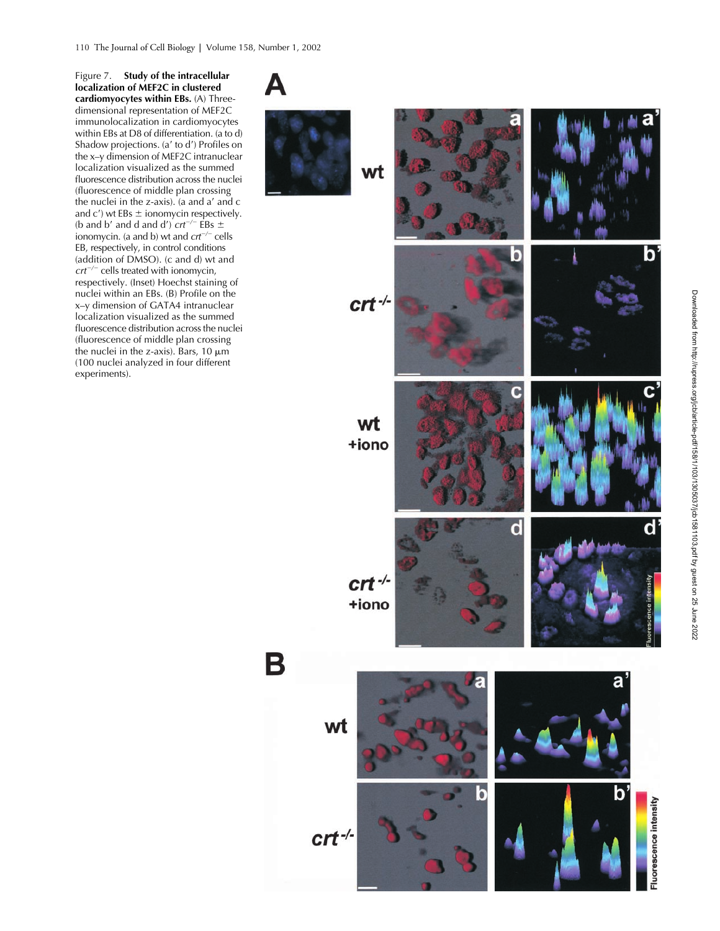Figure 7. **Study of the intracellular localization of MEF2C in clustered cardiomyocytes within EBs.** (A) Threedimensional representation of MEF2C immunolocalization in cardiomyocytes within EBs at D8 of differentiation. (a to d) Shadow projections. (a' to d') Profiles on the x–y dimension of MEF2C intranuclear localization visualized as the summed fluorescence distribution across the nuclei (fluorescence of middle plan crossing the nuclei in the z-axis). (a and a' and c and  $c'$ ) wt EBs  $\pm$  ionomycin respectively. (b and b' and d and d')  $crt^{-/-}$  EBs  $\pm$ ionomycin. (a and b) wt and *crt<sup>-/-</sup>* cells EB, respectively, in control conditions (addition of DMSO). (c and d) wt and  $crt^{-/-}$  cells treated with ionomycin, respectively. (Inset) Hoechst staining of nuclei within an EBs. (B) Profile on the x–y dimension of GATA4 intranuclear localization visualized as the summed fluorescence distribution across the nuclei (fluorescence of middle plan crossing the nuclei in the z-axis). Bars, 10 m (100 nuclei analyzed in four different experiments).

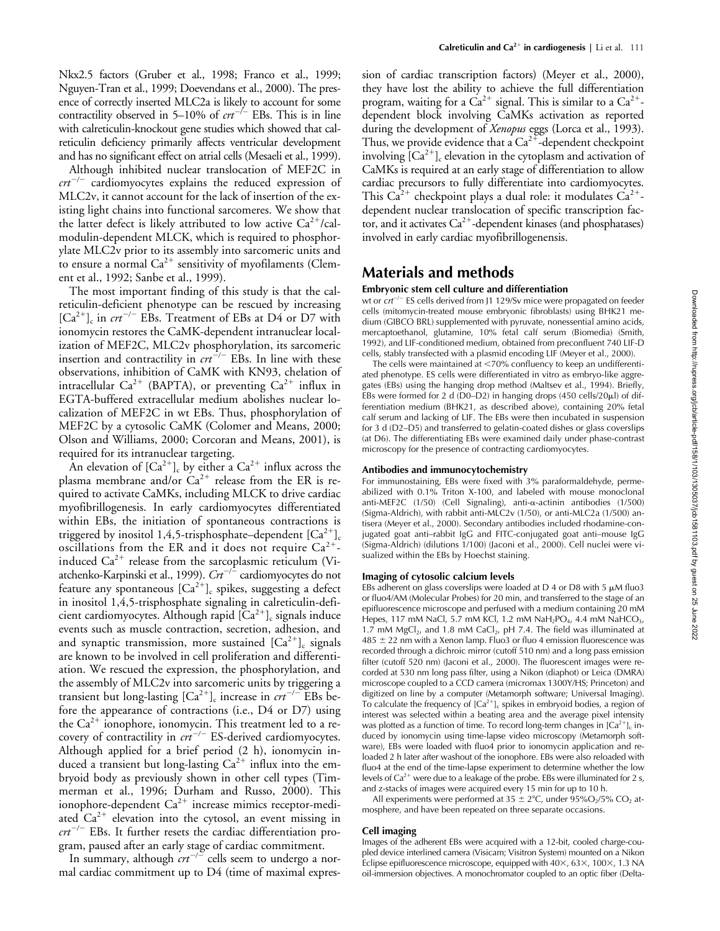Nkx2.5 factors (Gruber et al., 1998; Franco et al., 1999; Nguyen-Tran et al., 1999; Doevendans et al., 2000). The presence of correctly inserted MLC2a is likely to account for some contractility observed in 5–10% of  $crt^{-/-}$  EBs. This is in line with calreticulin-knockout gene studies which showed that cal-

and has no significant effect on atrial cells (Mesaeli et al., 1999). Although inhibited nuclear translocation of MEF2C in *crt/* cardiomyocytes explains the reduced expression of MLC2v, it cannot account for the lack of insertion of the existing light chains into functional sarcomeres. We show that the latter defect is likely attributed to low active  $Ca^{2+}/cal$ modulin-dependent MLCK, which is required to phosphorylate MLC2v prior to its assembly into sarcomeric units and to ensure a normal  $\text{Ca}^{2+}$  sensitivity of myofilaments (Clement et al., 1992; Sanbe et al., 1999).

reticulin deficiency primarily affects ventricular development

The most important finding of this study is that the calreticulin-deficient phenotype can be rescued by increasing  $[Ca^{2+}]_c$  in  $crt^{-/-}$  EBs. Treatment of EBs at D4 or D7 with ionomycin restores the CaMK-dependent intranuclear localization of MEF2C, MLC2v phosphorylation, its sarcomeric insertion and contractility in  $crt^{-/-}$  EBs. In line with these observations, inhibition of CaMK with KN93, chelation of intracellular  $Ca^{2+}$  (BAPTA), or preventing  $Ca^{2+}$  influx in EGTA-buffered extracellular medium abolishes nuclear localization of MEF2C in wt EBs. Thus, phosphorylation of MEF2C by a cytosolic CaMK (Colomer and Means, 2000; Olson and Williams, 2000; Corcoran and Means, 2001), is required for its intranuclear targeting.

An elevation of  $[Ca^{2+}]_c$  by either a  $Ca^{2+}$  influx across the plasma membrane and/or  $\text{Ca}^{2+}$  release from the ER is required to activate CaMKs, including MLCK to drive cardiac myofibrillogenesis. In early cardiomyocytes differentiated within EBs, the initiation of spontaneous contractions is triggered by inositol 1,4,5-trisphosphate–dependent  ${[Ca^{2+}]}_c$ oscillations from the ER and it does not require  $Ca^{2+}$ induced  $Ca^{2+}$  release from the sarcoplasmic reticulum (Viatchenko-Karpinski et al., 1999).  $Crt^{-2}$  cardiomyocytes do not feature any spontaneous  $[Ca^{2+}]_c$  spikes, suggesting a defect in inositol 1,4,5-trisphosphate signaling in calreticulin-deficient cardiomyocytes. Although rapid  $[\mathrm{Ca}^{2+}]_\mathrm{c}$  signals induce events such as muscle contraction, secretion, adhesion, and and synaptic transmission, more sustained  ${[Ca^{2+}]}_{\mathsf{c}}$  signals are known to be involved in cell proliferation and differentiation. We rescued the expression, the phosphorylation, and the assembly of MLC2v into sarcomeric units by triggering a transient but long-lasting  $[Ca^{2+}]_c$  increase in  $crt^{-/-}$  EBs before the appearance of contractions (i.e., D4 or D7) using the  $Ca^{2+}$  ionophore, ionomycin. This treatment led to a recovery of contractility in  $crt^{-/-}$  ES-derived cardiomyocytes. Although applied for a brief period (2 h), ionomycin induced a transient but long-lasting  $Ca^{2+}$  influx into the embryoid body as previously shown in other cell types (Timmerman et al., 1996; Durham and Russo, 2000). This ionophore-dependent  $Ca^{2+}$  increase mimics receptor-mediated  $Ca^{2+}$  elevation into the cytosol, an event missing in *crt/* EBs. It further resets the cardiac differentiation program, paused after an early stage of cardiac commitment.

In summary, although  $crt^{-/-}$  cells seem to undergo a normal cardiac commitment up to D4 (time of maximal expression of cardiac transcription factors) (Meyer et al., 2000), they have lost the ability to achieve the full differentiation program, waiting for a  $\text{Ca}^{2+}$  signal. This is similar to a  $\text{Ca}^{2+}$ dependent block involving CaMKs activation as reported during the development of *Xenopus* eggs (Lorca et al., 1993). Thus, we provide evidence that a  $Ca^{2+}$ -dependent checkpoint involving  $\rm [Ca^{2+}]_{c}$  elevation in the cytoplasm and activation of CaMKs is required at an early stage of differentiation to allow cardiac precursors to fully differentiate into cardiomyocytes. This Ca<sup>2+</sup> checkpoint plays a dual role: it modulates Ca<sup>2+</sup>dependent nuclear translocation of specific transcription factor, and it activates Ca<sup>2+</sup>-dependent kinases (and phosphatases) involved in early cardiac myofibrillogenensis.

## **Materials and methods**

#### **Embryonic stem cell culture and differentiation**

wt or *crt<sup>-/-</sup>* ES cells derived from J1 129/Sv mice were propagated on feeder cells (mitomycin-treated mouse embryonic fibroblasts) using BHK21 medium (GIBCO BRL) supplemented with pyruvate, nonessential amino acids, mercaptoethanol, glutamine, 10% fetal calf serum (Biomedia) (Smith, 1992), and LIF-conditioned medium, obtained from preconfluent 740 LIF-D cells, stably transfected with a plasmid encoding LIF (Meyer et al., 2000).

The cells were maintained at 70% confluency to keep an undifferentiated phenotype. ES cells were differentiated in vitro as embryo-like aggregates (EBs) using the hanging drop method (Maltsev et al., 1994). Briefly, EBs were formed for 2 d (D0–D2) in hanging drops (450 cells/20 $\mu$ l) of differentiation medium (BHK21, as described above), containing 20% fetal calf serum and lacking of LIF. The EBs were then incubated in suspension for 3 d (D2–D5) and transferred to gelatin-coated dishes or glass coverslips (at D6). The differentiating EBs were examined daily under phase-contrast microscopy for the presence of contracting cardiomyocytes.

#### **Antibodies and immunocytochemistry**

For immunostaining, EBs were fixed with 3% paraformaldehyde, permeabilized with 0.1% Triton X-100, and labeled with mouse monoclonal anti-MEF2C  $(1/50)$  (Cell Signaling), anti- $\alpha$ -actinin antibodies (1/500) (Sigma-Aldrich), with rabbit anti-MLC2v (1/50), or anti-MLC2a (1/500) antisera (Meyer et al., 2000). Secondary antibodies included rhodamine-conjugated goat anti–rabbit IgG and FITC-conjugated goat anti–mouse IgG (Sigma-Aldrich) (dilutions 1/100) (Jaconi et al., 2000). Cell nuclei were visualized within the EBs by Hoechst staining.

#### **Imaging of cytosolic calcium levels**

EBs adherent on glass coverslips were loaded at D 4 or D8 with 5  $\mu$ M fluo3 or fluo4/AM (Molecular Probes) for 20 min, and transferred to the stage of an epifluorescence microscope and perfused with a medium containing 20 mM Hepes, 117 mM NaCl, 5.7 mM KCl, 1.2 mM NaH<sub>2</sub>PO<sub>4</sub>, 4.4 mM NaHCO<sub>3</sub>, 1.7 mM MgCl<sub>2</sub>, and 1.8 mM CaCl<sub>2</sub>, pH 7.4. The field was illuminated at  $485 \pm 22$  nm with a Xenon lamp. Fluo3 or fluo 4 emission fluorescence was recorded through a dichroic mirror (cutoff 510 nm) and a long pass emission filter (cutoff 520 nm) (Jaconi et al., 2000). The fluorescent images were recorded at 530 nm long pass filter, using a Nikon (diaphot) or Leica (DMRA) microscope coupled to a CCD camera (micromax 1300Y/HS; Princeton) and digitized on line by a computer (Metamorph software; Universal Imaging). To calculate the frequency of  ${[Ca^{2+}]}_{c}$  spikes in embryoid bodies, a region of interest was selected within a beating area and the average pixel intensity was plotted as a function of time. To record long-term changes in [Ca $^{2+}$ ] $_{\rm c}$  induced by ionomycin using time-lapse video microscopy (Metamorph software), EBs were loaded with fluo4 prior to ionomycin application and reloaded 2 h later after washout of the ionophore. EBs were also reloaded with fluo4 at the end of the time-lapse experiment to determine whether the low levels of  $Ca^{2+}$  were due to a leakage of the probe. EBs were illuminated for 2 s, and z-stacks of images were acquired every 15 min for up to 10 h.

All experiments were performed at 35  $\pm$  2°C, under 95%O<sub>2</sub>/5% CO<sub>2</sub> atmosphere, and have been repeated on three separate occasions.

#### **Cell imaging**

Images of the adherent EBs were acquired with a 12-bit, cooled charge-coupled device interlined camera (Visicam; Visitron System) mounted on a Nikon Eclipse epifluorescence microscope, equipped with  $40\times$ ,  $63\times$ ,  $100\times$ , 1.3 NA oil-immersion objectives. A monochromator coupled to an optic fiber (Delta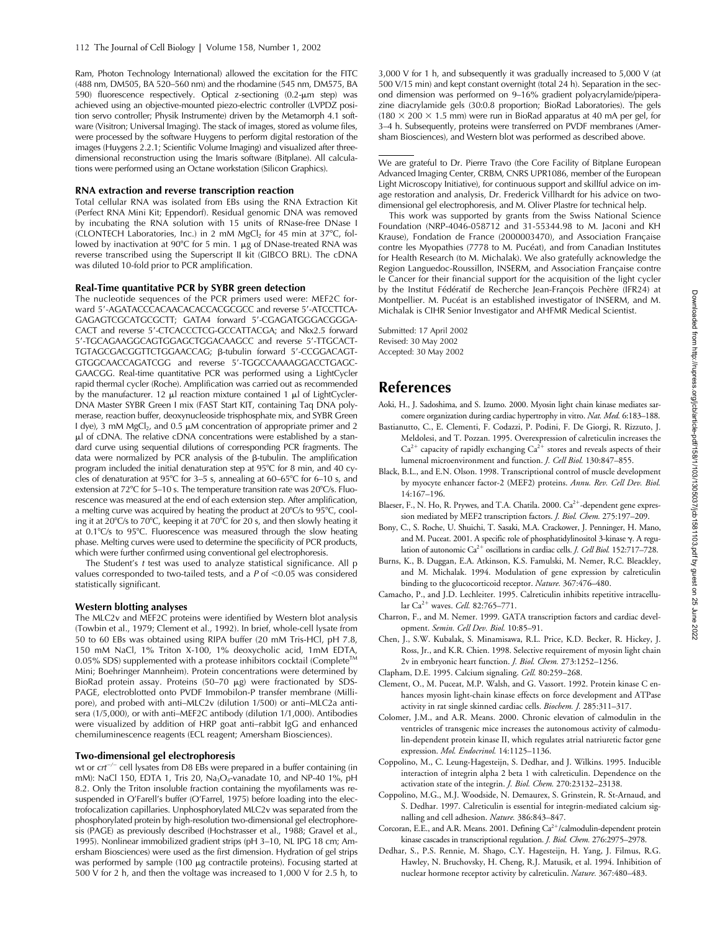Ram, Photon Technology International) allowed the excitation for the FITC (488 nm, DM505, BA 520–560 nm) and the rhodamine (545 nm, DM575, BA 590) fluorescence respectively. Optical z-sectioning (0.2-µm step) was achieved using an objective-mounted piezo-electric controller (LVPDZ position servo controller; Physik Instrumente) driven by the Metamorph 4.1 software (Visitron; Universal Imaging). The stack of images, stored as volume files, were processed by the software Huygens to perform digital restoration of the images (Huygens 2.2.1; Scientific Volume Imaging) and visualized after threedimensional reconstruction using the Imaris software (Bitplane). All calculations were performed using an Octane workstation (Silicon Graphics).

#### **RNA extraction and reverse transcription reaction**

Total cellular RNA was isolated from EBs using the RNA Extraction Kit (Perfect RNA Mini Kit; Eppendorf). Residual genomic DNA was removed by incubating the RNA solution with 15 units of RNase-free DNase I (CLONTECH Laboratories, Inc.) in 2 mM MgCl<sub>2</sub> for 45 min at  $37^{\circ}$ C, followed by inactivation at 90°C for 5 min. 1 µg of DNase-treated RNA was reverse transcribed using the Superscript II kit (GIBCO BRL). The cDNA was diluted 10-fold prior to PCR amplification.

#### **Real-Time quantitative PCR by SYBR green detection**

The nucleotide sequences of the PCR primers used were: MEF2C forward 5'-AGATACCCACAACACACCACGCGCC and reverse 5'-ATCCTTCA-GAGAGTCGCATGCGCTT; GATA4 forward 5'-CGAGATGGGACGGGA-CACT and reverse 5'-CTCACCCTCG-GCCATTACGA; and Nkx2.5 forward 5'-TGCAGAAGGCAGTGGAGCTGGACAAGCC and reverse 5'-TTGCACT-TGTAGCGACGGTTCTGGAACCAG; β-tubulin forward 5'-CCGGACAGT-GTGGCAACCAGATCGG and reverse 5 -TGGCCAAAAGGACCTGAGC-GAACGG. Real-time quantitative PCR was performed using a LightCycler rapid thermal cycler (Roche). Amplification was carried out as recommended by the manufacturer. 12  $\mu$  reaction mixture contained 1  $\mu$ l of LightCycler-DNA Master SYBR Green I mix (FAST Start KIT, containing Taq DNA polymerase, reaction buffer, deoxynucleoside trisphosphate mix, and SYBR Green I dye), 3 mM MgCl<sub>2</sub>, and 0.5  $\mu$ M concentration of appropriate primer and 2  $\mu$ l of cDNA. The relative cDNA concentrations were established by a standard curve using sequential dilutions of corresponding PCR fragments. The data were normalized by PCR analysis of the  $\beta$ -tubulin. The amplification program included the initial denaturation step at  $95^{\circ}$ C for 8 min, and 40 cycles of denaturation at 95°C for 3–5 s, annealing at 60–65°C for 6–10 s, and extension at 72°C for 5-10 s. The temperature transition rate was 20°C/s. Fluorescence was measured at the end of each extension step. After amplification, a melting curve was acquired by heating the product at 20°C/s to 95°C, cooling it at 20°C/s to 70°C, keeping it at 70°C for 20 s, and then slowly heating it at 0.1C/s to 95C. Fluorescence was measured through the slow heating phase. Melting curves were used to determine the specificity of PCR products, which were further confirmed using conventional gel electrophoresis.

The Student's *t* test was used to analyze statistical significance. All p values corresponded to two-tailed tests, and a *P* of 0.05 was considered statistically significant.

#### **Western blotting analyses**

The MLC2v and MEF2C proteins were identified by Western blot analysis (Towbin et al., 1979; Clement et al., 1992). In brief, whole-cell lysate from 50 to 60 EBs was obtained using RIPA buffer (20 mM Tris-HCl, pH 7.8, 150 mM NaCl, 1% Triton X-100, 1% deoxycholic acid, 1mM EDTA, 0.05% SDS) supplemented with a protease inhibitors cocktail (Complete<sup>™</sup> Mini; Boehringer Mannheim). Protein concentrations were determined by BioRad protein assay. Proteins (50–70  $\mu$ g) were fractionated by SDS-PAGE, electroblotted onto PVDF Immobilon-P transfer membrane (Millipore), and probed with anti–MLC2v (dilution 1/500) or anti–MLC2a antisera (1/5,000), or with anti–MEF2C antibody (dilution 1/1,000). Antibodies were visualized by addition of HRP goat anti–rabbit IgG and enhanced chemiluminescence reagents (ECL reagent; Amersham Biosciences).

#### **Two-dimensional gel electrophoresis**

wt or  $crt^{-/-}$  cell lysates from D8 EBs were prepared in a buffer containing (in mM): NaCl 150, EDTA 1, Tris 20,  $Na_3O_4$ -vanadate 10, and NP-40 1%, pH 8.2. Only the Triton insoluble fraction containing the myofilaments was resuspended in O'Farell's buffer (O'Farrel, 1975) before loading into the electrofocalization capillaries. Unphosphorylated MLC2v was separated from the phosphorylated protein by high-resolution two-dimensional gel electrophoresis (PAGE) as previously described (Hochstrasser et al., 1988; Gravel et al., 1995). Nonlinear immobilized gradient strips (pH 3–10, NL IPG 18 cm; Amersham Biosciences) were used as the first dimension. Hydration of gel strips was performed by sample (100  $\mu$ g contractile proteins). Focusing started at 500 V for 2 h, and then the voltage was increased to 1,000 V for 2.5 h, to

3,000 V for 1 h, and subsequently it was gradually increased to 5,000 V (at 500 V/15 min) and kept constant overnight (total 24 h). Separation in the second dimension was performed on 9–16% gradient polyacrylamide/piperazine diacrylamide gels (30:0.8 proportion; BioRad Laboratories). The gels  $(180 \times 200 \times 1.5$  mm) were run in BioRad apparatus at 40 mA per gel, for 3–4 h. Subsequently, proteins were transferred on PVDF membranes (Amersham Biosciences), and Western blot was performed as described above.

We are grateful to Dr. Pierre Travo (the Core Facility of Bitplane European Advanced Imaging Center, CRBM, CNRS UPR1086, member of the European Light Microscopy Initiative), for continuous support and skillful advice on image restoration and analysis, Dr. Frederick Villhardt for his advice on twodimensional gel electrophoresis, and M. Oliver Plastre for technical help.

This work was supported by grants from the Swiss National Science Foundation (NRP-4046-058712 and 31-55344.98 to M. Jaconi and KH Krause), Fondation de France (2000003470), and Association Française contre les Myopathies (7778 to M. Pucéat), and from Canadian Institutes for Health Research (to M. Michalak). We also gratefully acknowledge the Region Languedoc-Roussillon, INSERM, and Association Française contre le Cancer for their financial support for the acquisition of the light cycler by the Institut Fédératif de Recherche Jean-François Pechère (IFR24) at Montpellier. M. Pucéat is an established investigator of INSERM, and M. Michalak is CIHR Senior Investigator and AHFMR Medical Scientist.

Submitted: 17 April 2002 Revised: 30 May 2002 Accepted: 30 May 2002

# **References**

- Aoki, H., J. Sadoshima, and S. Izumo. 2000. Myosin light chain kinase mediates sarcomere organization during cardiac hypertrophy in vitro. *Nat. Med.* 6:183–188.
- Bastianutto, C., E. Clementi, F. Codazzi, P. Podini, F. De Giorgi, R. Rizzuto, J. Meldolesi, and T. Pozzan. 1995. Overexpression of calreticulin increases the  $Ca^{2+}$  capacity of rapidly exchanging  $Ca^{2+}$  stores and reveals aspects of their lumenal microenvironment and function. *J. Cell Biol.* 130:847–855.
- Black, B.L., and E.N. Olson. 1998. Transcriptional control of muscle development by myocyte enhancer factor-2 (MEF2) proteins. *Annu. Rev. Cell Dev. Biol.* 14:167–196.
- Blaeser, F., N. Ho, R. Prywes, and T.A. Chatila. 2000. Ca<sup>2+</sup>-dependent gene expression mediated by MEF2 transcription factors. *J. Biol. Chem.* 275:197–209.
- Bony, C., S. Roche, U. Shuichi, T. Sasaki, M.A. Crackower, J. Penninger, H. Mano, and M. Puceat. 2001. A specific role of phosphatidylinositol 3-kinase  $\gamma$ . A regulation of autonomic Ca<sup>2+</sup> oscillations in cardiac cells. *J. Cell Biol.* 152:717–728.
- Burns, K., B. Duggan, E.A. Atkinson, K.S. Famulski, M. Nemer, R.C. Bleackley, and M. Michalak. 1994. Modulation of gene expression by calreticulin binding to the glucocorticoid receptor. *Nature.* 367:476–480.
- Camacho, P., and J.D. Lechleiter. 1995. Calreticulin inhibits repetitive intracellular Ca2- waves. *Cell.* 82:765–771.
- Charron, F., and M. Nemer. 1999. GATA transcription factors and cardiac development. *Semin. Cell Dev. Biol.* 10:85–91.
- Chen, J., S.W. Kubalak, S. Minamisawa, R.L. Price, K.D. Becker, R. Hickey, J. Ross, Jr., and K.R. Chien. 1998. Selective requirement of myosin light chain 2v in embryonic heart function. *J. Biol. Chem.* 273:1252–1256.
- Clapham, D.E. 1995. Calcium signaling. *Cell.* 80:259–268.
- Clement, O., M. Puceat, M.P. Walsh, and G. Vassort. 1992. Protein kinase C enhances myosin light-chain kinase effects on force development and ATPase activity in rat single skinned cardiac cells. *Biochem. J.* 285:311–317.
- Colomer, J.M., and A.R. Means. 2000. Chronic elevation of calmodulin in the ventricles of transgenic mice increases the autonomous activity of calmodulin-dependent protein kinase II, which regulates atrial natriuretic factor gene expression. *Mol. Endocrinol.* 14:1125–1136.
- Coppolino, M., C. Leung-Hagesteijn, S. Dedhar, and J. Wilkins. 1995. Inducible interaction of integrin alpha 2 beta 1 with calreticulin. Dependence on the activation state of the integrin. *J. Biol. Chem.* 270:23132–23138.
- Coppolino, M.G., M.J. Woodside, N. Demaurex, S. Grinstein, R. St-Arnaud, and S. Dedhar. 1997. Calreticulin is essential for integrin-mediated calcium signalling and cell adhesion. *Nature.* 386:843–847.
- Corcoran, E.E., and A.R. Means. 2001. Defining Ca<sup>2+</sup>/calmodulin-dependent protein kinase cascades in transcriptional regulation. *J. Biol. Chem.* 276:2975–2978.
- Dedhar, S., P.S. Rennie, M. Shago, C.Y. Hagesteijn, H. Yang, J. Filmus, R.G. Hawley, N. Bruchovsky, H. Cheng, R.J. Matusik, et al. 1994. Inhibition of nuclear hormone receptor activity by calreticulin. *Nature.* 367:480–483.